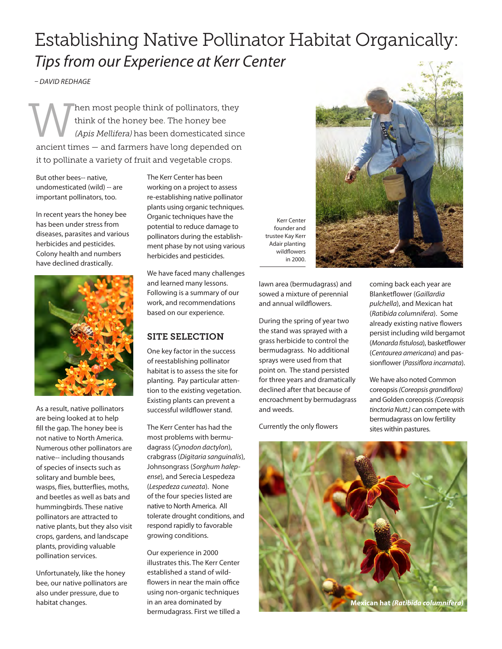## Establishing Native Pollinator Habitat Organically: *Tips from our Experience at Kerr Center*

*– DAVID REDHAGE*

hen most people think of pollinators, they think of the honey bee. The honey bee (Apis Mellifera) has been domesticated since ancient times — and farmers have long depended on it to pollinate a variety of fruit and vegetable crops. W

But other bees-- native, undomesticated (wild) -- are important pollinators, too.

In recent years the honey bee has been under stress from diseases, parasites and various herbicides and pesticides. Colony health and numbers have declined drastically.



As a result, native pollinators are being looked at to help fill the gap. The honey bee is not native to North America. Numerous other pollinators are native-- including thousands of species of insects such as solitary and bumble bees, wasps, flies, butterflies, moths, and beetles as well as bats and hummingbirds. These native pollinators are attracted to native plants, but they also visit crops, gardens, and landscape plants, providing valuable pollination services.

Unfortunately, like the honey bee, our native pollinators are also under pressure, due to habitat changes.

The Kerr Center has been working on a project to assess re-establishing native pollinator plants using organic techniques. Organic techniques have the potential to reduce damage to pollinators during the establishment phase by not using various herbicides and pesticides.

We have faced many challenges and learned many lessons. Following is a summary of our work, and recommendations based on our experience.

## SITE SELECTION

One key factor in the success of reestablishing pollinator habitat is to assess the site for planting. Pay particular attention to the existing vegetation. Existing plants can prevent a successful wildflower stand.

The Kerr Center has had the most problems with bermudagrass (*Cynodon dactylon*), crabgrass (*Digitaria sanguinalis*), Johnsongrass (*Sorghum halepense*), and Serecia Lespedeza (*Lespedeza cuneata*). None of the four species listed are native to North America. All tolerate drought conditions, and respond rapidly to favorable growing conditions.

Our experience in 2000 illustrates this. The Kerr Center established a stand of wildflowers in near the main office using non-organic techniques in an area dominated by bermudagrass. First we tilled a



Kerr Center founder and trustee Kay Kerr Adair planting wildflowers in 2000.

lawn area (bermudagrass) and sowed a mixture of perennial and annual wildflowers.

During the spring of year two the stand was sprayed with a grass herbicide to control the bermudagrass. No additional sprays were used from that point on. The stand persisted for three years and dramatically declined after that because of encroachment by bermudagrass and weeds.

Currently the only flowers

coming back each year are Blanketflower (*Gaillardia pulchella*), and Mexican hat (*Ratibida columnifera*). Some already existing native flowers persist including wild bergamot (*Monarda fistulosa*), basketflower (*Centaurea americana*) and passionflower (*Passiflora incarnata*).

We have also noted Common coreopsis *(Coreopsis grandiflora)*  and Golden coreopsis *(Coreopsis tinctoria Nutt.)* can compete with bermudagrass on low fertility sites within pastures.

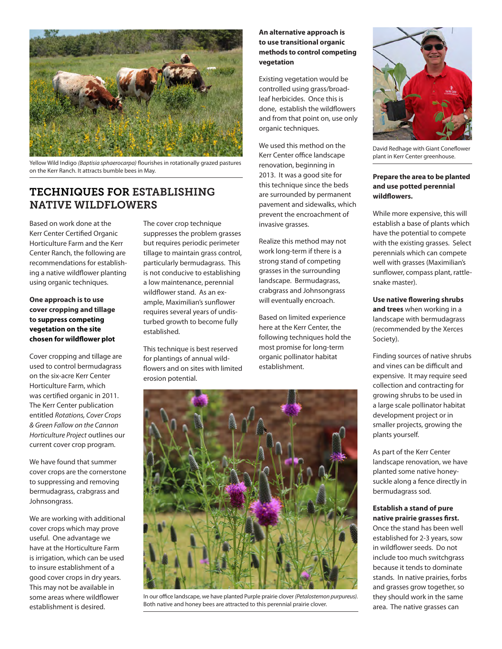

Yellow Wild Indigo *(Baptisia sphaerocarpa)* flourishes in rotationally grazed pastures on the Kerr Ranch. It attracts bumble bees in May.

### TECHNIQUES FOR ESTABLISHING NATIVE WILDFLOWERS

Based on work done at the Kerr Center Certified Organic Horticulture Farm and the Kerr Center Ranch, the following are recommendations for establishing a native wildflower planting using organic techniques.

### **One approach is to use cover cropping and tillage to suppress competing vegetation on the site chosen for wildflower plot**

Cover cropping and tillage are used to control bermudagrass on the six-acre Kerr Center Horticulture Farm, which was certified organic in 2011. The Kerr Center publication entitled *Rotations, Cover Crops & Green Fallow on the Cannon Horticulture Project* outlines our current cover crop program.

We have found that summer cover crops are the cornerstone to suppressing and removing bermudagrass, crabgrass and Johnsongrass.

We are working with additional cover crops which may prove useful. One advantage we have at the Horticulture Farm is irrigation, which can be used to insure establishment of a good cover crops in dry years. This may not be available in some areas where wildflower establishment is desired.

The cover crop technique suppresses the problem grasses but requires periodic perimeter tillage to maintain grass control, particularly bermudagrass. This is not conducive to establishing a low maintenance, perennial wildflower stand. As an example, Maximilian's sunflower requires several years of undisturbed growth to become fully established.

This technique is best reserved for plantings of annual wildflowers and on sites with limited erosion potential.

### **An alternative approach is to use transitional organic methods to control competing vegetation**

Existing vegetation would be controlled using grass/broadleaf herbicides. Once this is done, establish the wildflowers and from that point on, use only organic techniques.

We used this method on the Kerr Center office landscape renovation, beginning in 2013. It was a good site for this technique since the beds are surrounded by permanent pavement and sidewalks, which prevent the encroachment of invasive grasses.

Realize this method may not work long-term if there is a strong stand of competing grasses in the surrounding landscape. Bermudagrass, crabgrass and Johnsongrass will eventually encroach.

Based on limited experience here at the Kerr Center, the following techniques hold the most promise for long-term organic pollinator habitat establishment.



In our office landscape, we have planted Purple prairie clover *(Petalostemon purpureus).*  Both native and honey bees are attracted to this perennial prairie clover.



David Redhage with Giant Coneflower plant in Kerr Center greenhouse.

#### **Prepare the area to be planted and use potted perennial wildflowers.**

While more expensive, this will establish a base of plants which have the potential to compete with the existing grasses. Select perennials which can compete well with grasses (Maximilian's sunflower, compass plant, rattlesnake master).

**Use native flowering shrubs and trees** when working in a landscape with bermudagrass (recommended by the Xerces Society).

Finding sources of native shrubs and vines can be difficult and expensive. It may require seed collection and contracting for growing shrubs to be used in a large scale pollinator habitat development project or in smaller projects, growing the plants yourself.

As part of the Kerr Center landscape renovation, we have planted some native honeysuckle along a fence directly in bermudagrass sod.

#### **Establish a stand of pure native prairie grasses first.**

Once the stand has been well established for 2-3 years, sow in wildflower seeds. Do not include too much switchgrass because it tends to dominate stands. In native prairies, forbs and grasses grow together, so they should work in the same area. The native grasses can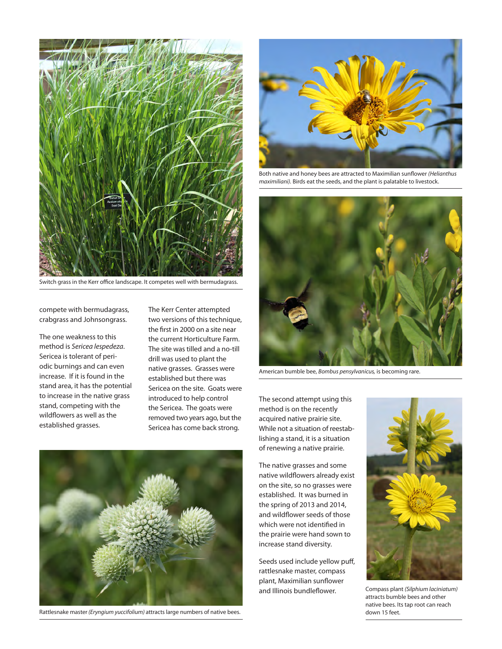

Switch grass in the Kerr office landscape. It competes well with bermudagrass.

compete with bermudagrass, crabgrass and Johnsongrass.

The one weakness to this method is *Sericea lespedeza*. Sericea is tolerant of periodic burnings and can even increase. If it is found in the stand area, it has the potential to increase in the native grass stand, competing with the wildflowers as well as the established grasses.

The Kerr Center attempted two versions of this technique, the first in 2000 on a site near the current Horticulture Farm. The site was tilled and a no-till drill was used to plant the native grasses. Grasses were established but there was Sericea on the site. Goats were introduced to help control the Sericea. The goats were removed two years ago, but the Sericea has come back strong.



Both native and honey bees are attracted to Maximilian sunflower *(Helianthus maximiliani).* Birds eat the seeds, and the plant is palatable to livestock.



American bumble bee, *Bombus pensylvanicus,* is becoming rare.

The second attempt using this method is on the recently acquired native prairie site. While not a situation of reestablishing a stand, it is a situation of renewing a native prairie.

The native grasses and some native wildflowers already exist on the site, so no grasses were established. It was burned in the spring of 2013 and 2014, and wildflower seeds of those which were not identified in the prairie were hand sown to increase stand diversity.

Seeds used include yellow puff, rattlesnake master, compass plant, Maximilian sunflower and Illinois bundleflower.



Compass plant *(Silphium laciniatum)*  attracts bumble bees and other native bees. Its tap root can reach



Rattlesnake master (Eryngium yuccifolium) attracts large numbers of native bees. down 15 feet.